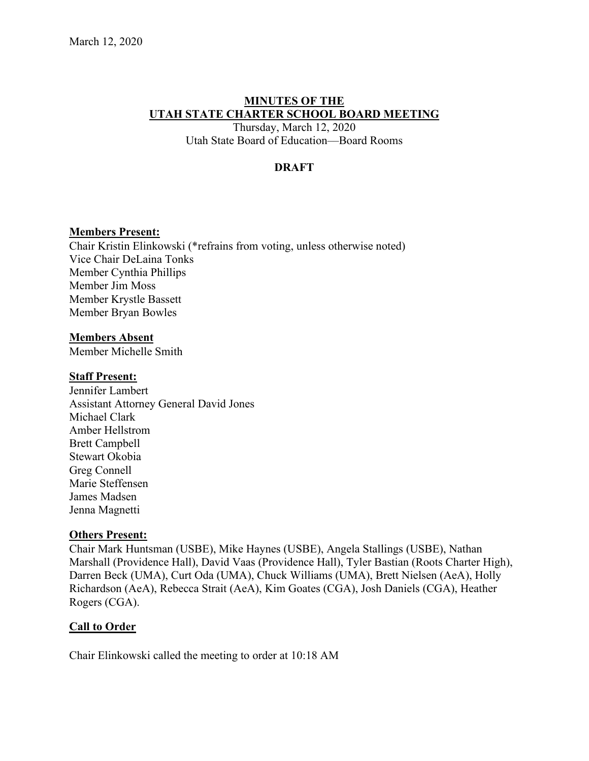# **MINUTES OF THE UTAH STATE CHARTER SCHOOL BOARD MEETING**

Thursday, March 12, 2020 Utah State Board of Education––Board Rooms

# **DRAFT**

### **Members Present:**

Chair Kristin Elinkowski (\*refrains from voting, unless otherwise noted) Vice Chair DeLaina Tonks Member Cynthia Phillips Member Jim Moss Member Krystle Bassett Member Bryan Bowles

### **Members Absent**

Member Michelle Smith

### **Staff Present:**

Jennifer Lambert Assistant Attorney General David Jones Michael Clark Amber Hellstrom Brett Campbell Stewart Okobia Greg Connell Marie Steffensen James Madsen Jenna Magnetti

### **Others Present:**

Chair Mark Huntsman (USBE), Mike Haynes (USBE), Angela Stallings (USBE), Nathan Marshall (Providence Hall), David Vaas (Providence Hall), Tyler Bastian (Roots Charter High), Darren Beck (UMA), Curt Oda (UMA), Chuck Williams (UMA), Brett Nielsen (AeA), Holly Richardson (AeA), Rebecca Strait (AeA), Kim Goates (CGA), Josh Daniels (CGA), Heather Rogers (CGA).

# **Call to Order**

Chair Elinkowski called the meeting to order at 10:18 AM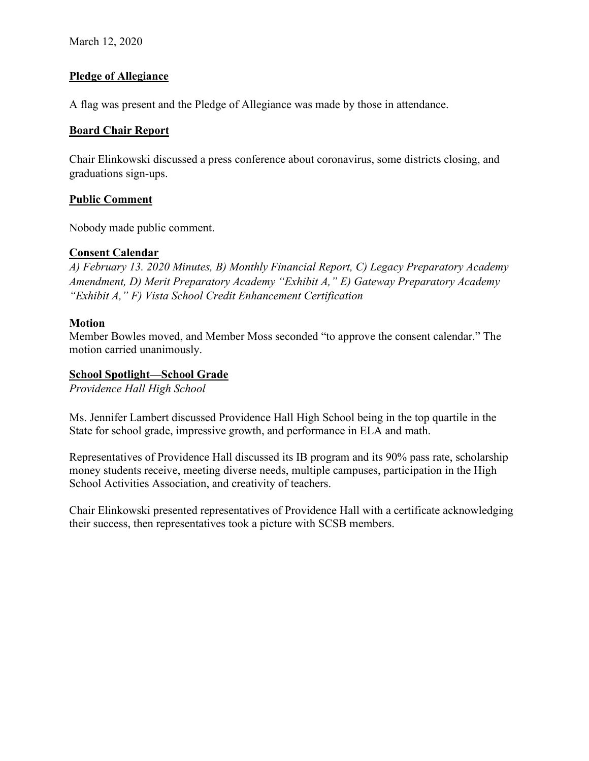March 12, 2020

### **Pledge of Allegiance**

A flag was present and the Pledge of Allegiance was made by those in attendance.

### **Board Chair Report**

Chair Elinkowski discussed a press conference about coronavirus, some districts closing, and graduations sign-ups.

### **Public Comment**

Nobody made public comment.

### **Consent Calendar**

*A) February 13. 2020 Minutes, B) Monthly Financial Report, C) Legacy Preparatory Academy Amendment, D) Merit Preparatory Academy "Exhibit A," E) Gateway Preparatory Academy "Exhibit A," F) Vista School Credit Enhancement Certification* 

### **Motion**

Member Bowles moved, and Member Moss seconded "to approve the consent calendar." The motion carried unanimously.

### **School Spotlight—School Grade**

*Providence Hall High School* 

Ms. Jennifer Lambert discussed Providence Hall High School being in the top quartile in the State for school grade, impressive growth, and performance in ELA and math.

Representatives of Providence Hall discussed its IB program and its 90% pass rate, scholarship money students receive, meeting diverse needs, multiple campuses, participation in the High School Activities Association, and creativity of teachers.

Chair Elinkowski presented representatives of Providence Hall with a certificate acknowledging their success, then representatives took a picture with SCSB members.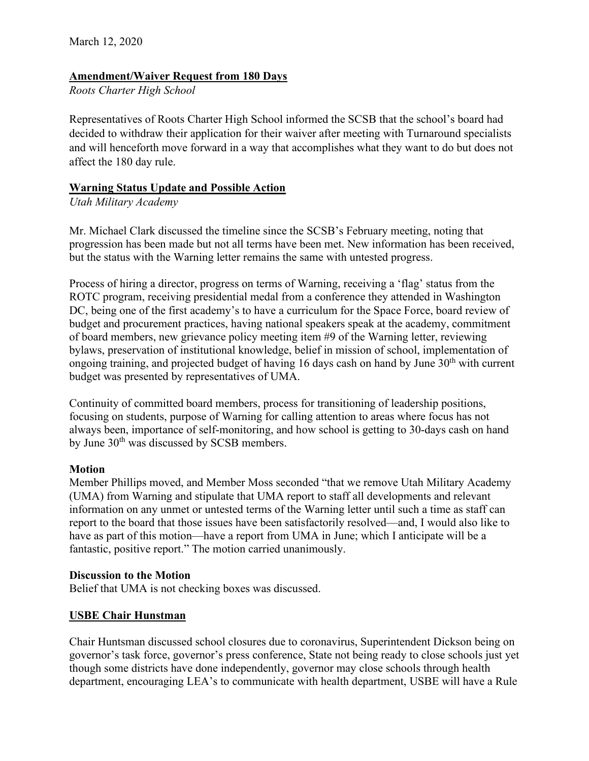# **Amendment/Waiver Request from 180 Days**

*Roots Charter High School*

Representatives of Roots Charter High School informed the SCSB that the school's board had decided to withdraw their application for their waiver after meeting with Turnaround specialists and will henceforth move forward in a way that accomplishes what they want to do but does not affect the 180 day rule.

### **Warning Status Update and Possible Action**

*Utah Military Academy*

Mr. Michael Clark discussed the timeline since the SCSB's February meeting, noting that progression has been made but not all terms have been met. New information has been received, but the status with the Warning letter remains the same with untested progress.

Process of hiring a director, progress on terms of Warning, receiving a 'flag' status from the ROTC program, receiving presidential medal from a conference they attended in Washington DC, being one of the first academy's to have a curriculum for the Space Force, board review of budget and procurement practices, having national speakers speak at the academy, commitment of board members, new grievance policy meeting item #9 of the Warning letter, reviewing bylaws, preservation of institutional knowledge, belief in mission of school, implementation of ongoing training, and projected budget of having 16 days cash on hand by June  $30<sup>th</sup>$  with current budget was presented by representatives of UMA.

Continuity of committed board members, process for transitioning of leadership positions, focusing on students, purpose of Warning for calling attention to areas where focus has not always been, importance of self-monitoring, and how school is getting to 30-days cash on hand by June 30<sup>th</sup> was discussed by SCSB members.

### **Motion**

Member Phillips moved, and Member Moss seconded "that we remove Utah Military Academy (UMA) from Warning and stipulate that UMA report to staff all developments and relevant information on any unmet or untested terms of the Warning letter until such a time as staff can report to the board that those issues have been satisfactorily resolved––and, I would also like to have as part of this motion—have a report from UMA in June; which I anticipate will be a fantastic, positive report." The motion carried unanimously.

### **Discussion to the Motion**

Belief that UMA is not checking boxes was discussed.

# **USBE Chair Hunstman**

Chair Huntsman discussed school closures due to coronavirus, Superintendent Dickson being on governor's task force, governor's press conference, State not being ready to close schools just yet though some districts have done independently, governor may close schools through health department, encouraging LEA's to communicate with health department, USBE will have a Rule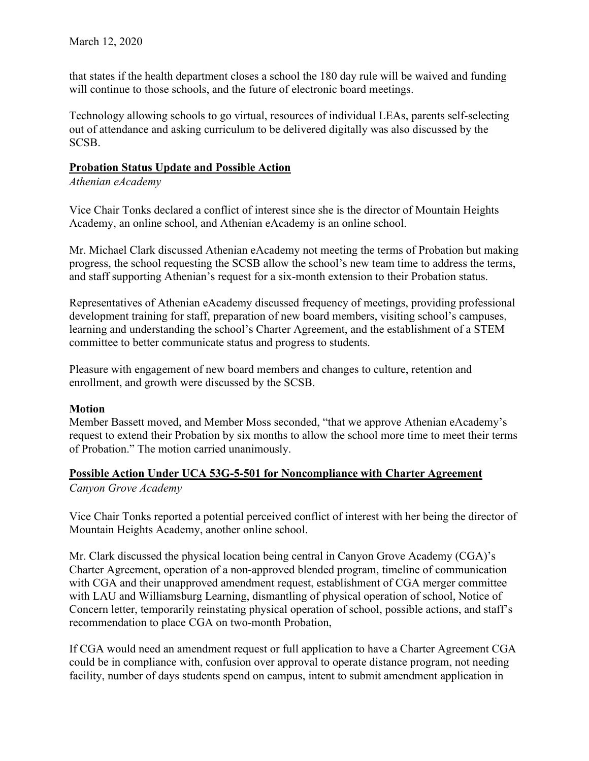that states if the health department closes a school the 180 day rule will be waived and funding will continue to those schools, and the future of electronic board meetings.

Technology allowing schools to go virtual, resources of individual LEAs, parents self-selecting out of attendance and asking curriculum to be delivered digitally was also discussed by the SCSB.

#### **Probation Status Update and Possible Action**

*Athenian eAcademy*

Vice Chair Tonks declared a conflict of interest since she is the director of Mountain Heights Academy, an online school, and Athenian eAcademy is an online school.

Mr. Michael Clark discussed Athenian eAcademy not meeting the terms of Probation but making progress, the school requesting the SCSB allow the school's new team time to address the terms, and staff supporting Athenian's request for a six-month extension to their Probation status.

Representatives of Athenian eAcademy discussed frequency of meetings, providing professional development training for staff, preparation of new board members, visiting school's campuses, learning and understanding the school's Charter Agreement, and the establishment of a STEM committee to better communicate status and progress to students.

Pleasure with engagement of new board members and changes to culture, retention and enrollment, and growth were discussed by the SCSB.

### **Motion**

Member Bassett moved, and Member Moss seconded, "that we approve Athenian eAcademy's request to extend their Probation by six months to allow the school more time to meet their terms of Probation." The motion carried unanimously.

# **Possible Action Under UCA 53G-5-501 for Noncompliance with Charter Agreement**

*Canyon Grove Academy*

Vice Chair Tonks reported a potential perceived conflict of interest with her being the director of Mountain Heights Academy, another online school.

Mr. Clark discussed the physical location being central in Canyon Grove Academy (CGA)'s Charter Agreement, operation of a non-approved blended program, timeline of communication with CGA and their unapproved amendment request, establishment of CGA merger committee with LAU and Williamsburg Learning, dismantling of physical operation of school, Notice of Concern letter, temporarily reinstating physical operation of school, possible actions, and staff's recommendation to place CGA on two-month Probation,

If CGA would need an amendment request or full application to have a Charter Agreement CGA could be in compliance with, confusion over approval to operate distance program, not needing facility, number of days students spend on campus, intent to submit amendment application in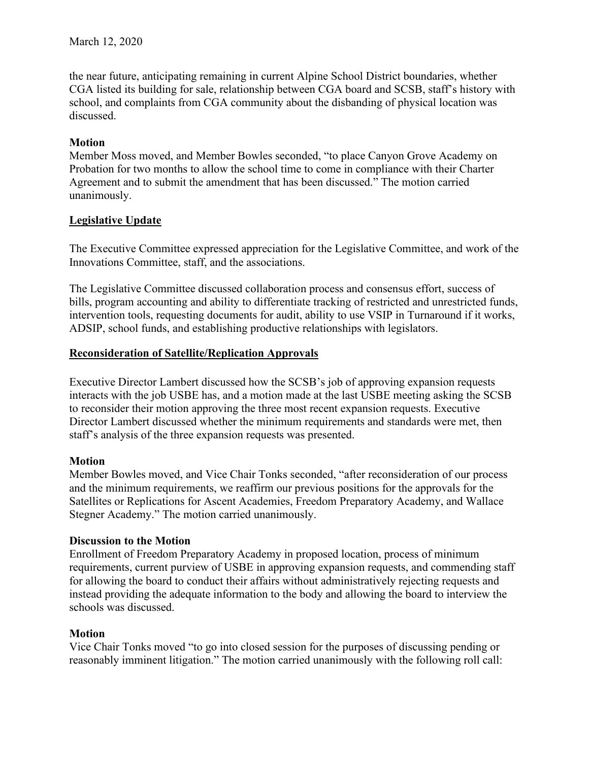the near future, anticipating remaining in current Alpine School District boundaries, whether CGA listed its building for sale, relationship between CGA board and SCSB, staff's history with school, and complaints from CGA community about the disbanding of physical location was discussed.

# **Motion**

Member Moss moved, and Member Bowles seconded, "to place Canyon Grove Academy on Probation for two months to allow the school time to come in compliance with their Charter Agreement and to submit the amendment that has been discussed." The motion carried unanimously.

# **Legislative Update**

The Executive Committee expressed appreciation for the Legislative Committee, and work of the Innovations Committee, staff, and the associations.

The Legislative Committee discussed collaboration process and consensus effort, success of bills, program accounting and ability to differentiate tracking of restricted and unrestricted funds, intervention tools, requesting documents for audit, ability to use VSIP in Turnaround if it works, ADSIP, school funds, and establishing productive relationships with legislators.

# **Reconsideration of Satellite/Replication Approvals**

Executive Director Lambert discussed how the SCSB's job of approving expansion requests interacts with the job USBE has, and a motion made at the last USBE meeting asking the SCSB to reconsider their motion approving the three most recent expansion requests. Executive Director Lambert discussed whether the minimum requirements and standards were met, then staff's analysis of the three expansion requests was presented.

### **Motion**

Member Bowles moved, and Vice Chair Tonks seconded, "after reconsideration of our process and the minimum requirements, we reaffirm our previous positions for the approvals for the Satellites or Replications for Ascent Academies, Freedom Preparatory Academy, and Wallace Stegner Academy." The motion carried unanimously.

### **Discussion to the Motion**

Enrollment of Freedom Preparatory Academy in proposed location, process of minimum requirements, current purview of USBE in approving expansion requests, and commending staff for allowing the board to conduct their affairs without administratively rejecting requests and instead providing the adequate information to the body and allowing the board to interview the schools was discussed.

# **Motion**

Vice Chair Tonks moved "to go into closed session for the purposes of discussing pending or reasonably imminent litigation." The motion carried unanimously with the following roll call: